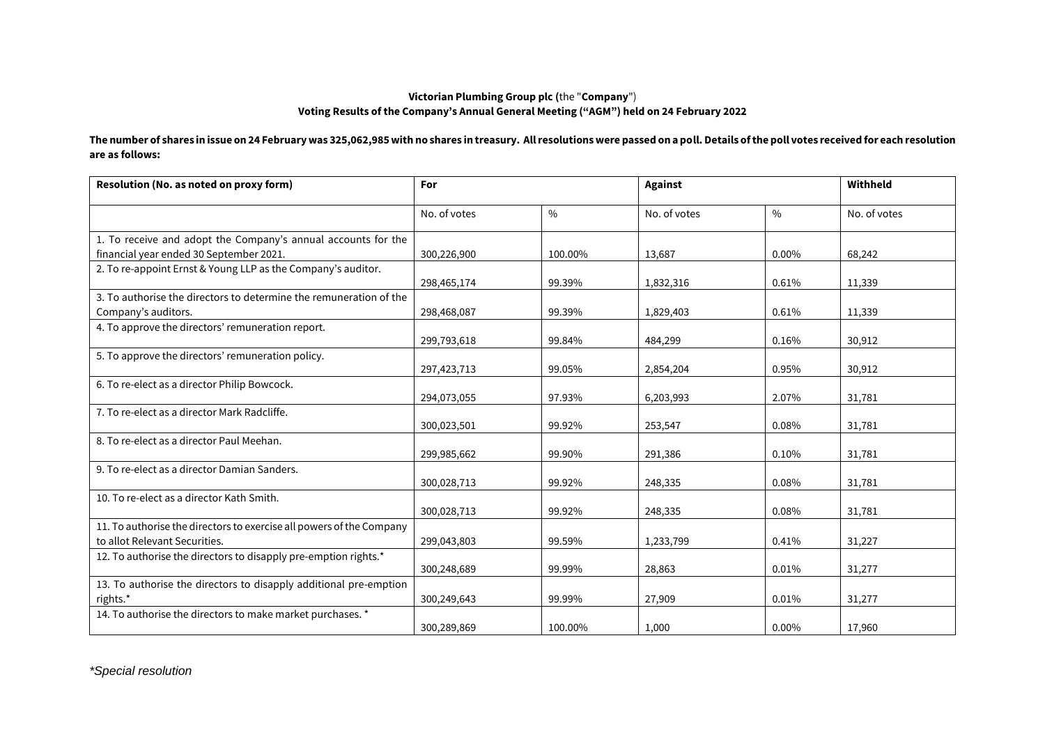## **Victorian Plumbing Group plc (**the "**Company**") **Voting Results of the Company's Annual General Meeting ("AGM") held on 24 February 2022**

**The number of shares in issue on 24 February was 325,062,985 with no shares in treasury. All resolutions were passed on a poll. Details of the poll votes received for each resolution are as follows:**

| Resolution (No. as noted on proxy form)                                                                  | For          |         | <b>Against</b> |               | Withheld     |
|----------------------------------------------------------------------------------------------------------|--------------|---------|----------------|---------------|--------------|
|                                                                                                          | No. of votes | $\%$    | No. of votes   | $\frac{0}{0}$ | No. of votes |
| 1. To receive and adopt the Company's annual accounts for the<br>financial year ended 30 September 2021. | 300,226,900  | 100.00% | 13,687         | $0.00\%$      | 68,242       |
| 2. To re-appoint Ernst & Young LLP as the Company's auditor.                                             | 298,465,174  | 99.39%  | 1,832,316      | 0.61%         | 11,339       |
| 3. To authorise the directors to determine the remuneration of the<br>Company's auditors.                | 298,468,087  | 99.39%  | 1,829,403      | 0.61%         | 11,339       |
| 4. To approve the directors' remuneration report.                                                        | 299,793,618  | 99.84%  | 484,299        | 0.16%         | 30,912       |
| 5. To approve the directors' remuneration policy.                                                        | 297,423,713  | 99.05%  | 2,854,204      | 0.95%         | 30,912       |
| 6. To re-elect as a director Philip Bowcock.                                                             | 294,073,055  | 97.93%  | 6,203,993      | 2.07%         | 31,781       |
| 7. To re-elect as a director Mark Radcliffe.                                                             | 300,023,501  | 99.92%  | 253,547        | 0.08%         | 31,781       |
| 8. To re-elect as a director Paul Meehan.                                                                | 299,985,662  | 99.90%  | 291,386        | 0.10%         | 31,781       |
| 9. To re-elect as a director Damian Sanders.                                                             | 300,028,713  | 99.92%  | 248,335        | 0.08%         | 31,781       |
| 10. To re-elect as a director Kath Smith.                                                                | 300,028,713  | 99.92%  | 248,335        | 0.08%         | 31,781       |
| 11. To authorise the directors to exercise all powers of the Company<br>to allot Relevant Securities.    | 299,043,803  | 99.59%  | 1,233,799      | 0.41%         | 31,227       |
| 12. To authorise the directors to disapply pre-emption rights.*                                          | 300,248,689  | 99.99%  | 28,863         | 0.01%         | 31,277       |
| 13. To authorise the directors to disapply additional pre-emption<br>rights.*                            | 300,249,643  | 99.99%  | 27,909         | 0.01%         | 31,277       |
| 14. To authorise the directors to make market purchases. *                                               | 300,289,869  | 100.00% | 1,000          | 0.00%         | 17,960       |

*\*Special resolution*